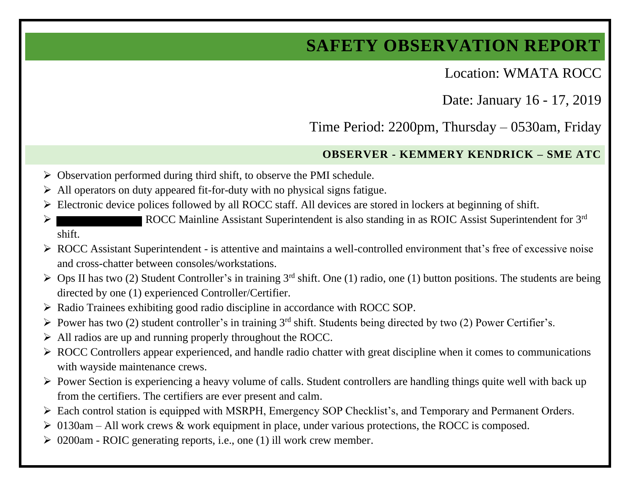## **SAFETY OBSERVATION REPORT**

Location: WMATA ROCC

Date: January 16 - 17, 2019

Time Period: 2200pm, Thursday – 0530am, Friday

## **OBSERVER - KEMMERY KENDRICK – SME ATC**

- ➢ Observation performed during third shift, to observe the PMI schedule.
- ➢ All operators on duty appeared fit-for-duty with no physical signs fatigue.
- ➢ Electronic device polices followed by all ROCC staff. All devices are stored in lockers at beginning of shift.
- ➢ ROCC Mainline Assistant Superintendent is also standing in as ROIC Assist Superintendent for 3 rd shift.
- ➢ ROCC Assistant Superintendent is attentive and maintains a well-controlled environment that's free of excessive noise and cross-chatter between consoles/workstations.
- $\triangleright$  Ops II has two (2) Student Controller's in training 3<sup>rd</sup> shift. One (1) radio, one (1) button positions. The students are being directed by one (1) experienced Controller/Certifier.
- ➢ Radio Trainees exhibiting good radio discipline in accordance with ROCC SOP.
- $\triangleright$  Power has two (2) student controller's in training 3<sup>rd</sup> shift. Students being directed by two (2) Power Certifier's.
- ➢ All radios are up and running properly throughout the ROCC.
- ➢ ROCC Controllers appear experienced, and handle radio chatter with great discipline when it comes to communications with wayside maintenance crews.
- ➢ Power Section is experiencing a heavy volume of calls. Student controllers are handling things quite well with back up from the certifiers. The certifiers are ever present and calm.
- ➢ Each control station is equipped with MSRPH, Emergency SOP Checklist's, and Temporary and Permanent Orders.
- $\geq 0130$ am All work crews & work equipment in place, under various protections, the ROCC is composed.
- ➢ 0200am ROIC generating reports, i.e., one (1) ill work crew member.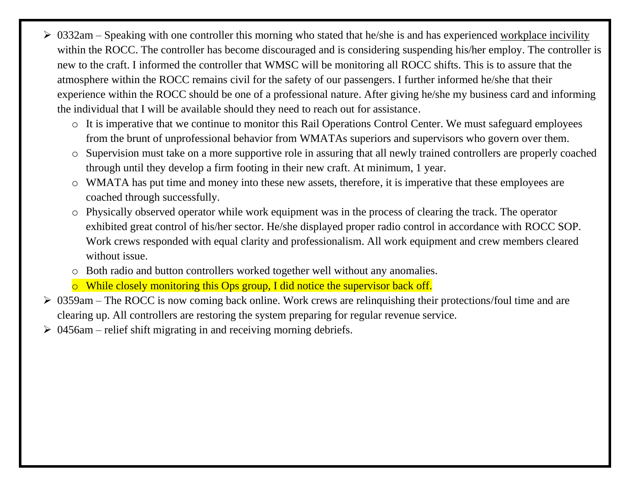- $\geq 0332$ am Speaking with one controller this morning who stated that he/she is and has experienced workplace incivility within the ROCC. The controller has become discouraged and is considering suspending his/her employ. The controller is new to the craft. I informed the controller that WMSC will be monitoring all ROCC shifts. This is to assure that the atmosphere within the ROCC remains civil for the safety of our passengers. I further informed he/she that their experience within the ROCC should be one of a professional nature. After giving he/she my business card and informing the individual that I will be available should they need to reach out for assistance.
	- o It is imperative that we continue to monitor this Rail Operations Control Center. We must safeguard employees from the brunt of unprofessional behavior from WMATAs superiors and supervisors who govern over them.
	- o Supervision must take on a more supportive role in assuring that all newly trained controllers are properly coached through until they develop a firm footing in their new craft. At minimum, 1 year.
	- o WMATA has put time and money into these new assets, therefore, it is imperative that these employees are coached through successfully.
	- o Physically observed operator while work equipment was in the process of clearing the track. The operator exhibited great control of his/her sector. He/she displayed proper radio control in accordance with ROCC SOP. Work crews responded with equal clarity and professionalism. All work equipment and crew members cleared without issue.
	- o Both radio and button controllers worked together well without any anomalies.
	- o While closely monitoring this Ops group, I did notice the supervisor back off.
- $\geq 0359$ am The ROCC is now coming back online. Work crews are relinquishing their protections/foul time and are clearing up. All controllers are restoring the system preparing for regular revenue service.
- $\geq 0.0456$ am relief shift migrating in and receiving morning debriefs.